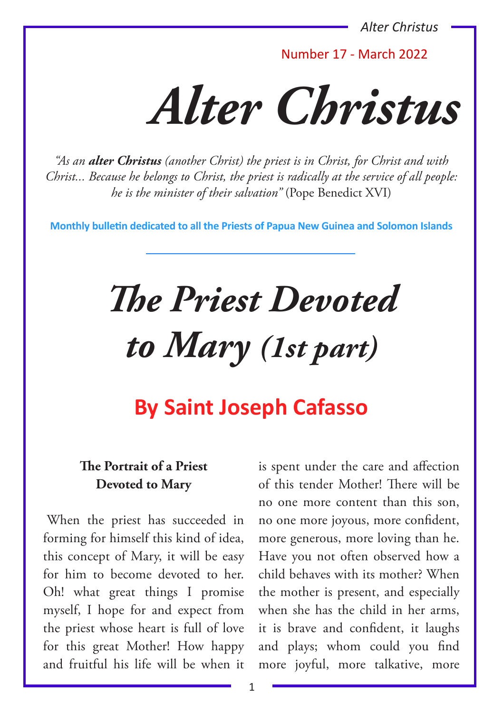*Alter Christus*

Number 17 - March 2022

*Alter Christus*

*"As an alter Christus (another Christ) the priest is in Christ, for Christ and with Christ... Because he belongs to Christ, the priest is radically at the service of all people: he is the minister of their salvation"* (Pope Benedict XVI)

**Monthly bulletin dedicated to all the Priests of Papua New Guinea and Solomon Islands**

# *The Priest Devoted to Mary (1st part)*

# **By Saint Joseph Cafasso**

## **The Portrait of a Priest Devoted to Mary**

When the priest has succeeded in forming for himself this kind of idea, this concept of Mary, it will be easy for him to become devoted to her. Oh! what great things I promise myself, I hope for and expect from the priest whose heart is full of love for this great Mother! How happy and fruitful his life will be when it

is spent under the care and affection of this tender Mother! There will be no one more content than this son, no one more joyous, more confident, more generous, more loving than he. Have you not often observed how a child behaves with its mother? When the mother is present, and especially when she has the child in her arms, it is brave and confident, it laughs and plays; whom could you find more joyful, more talkative, more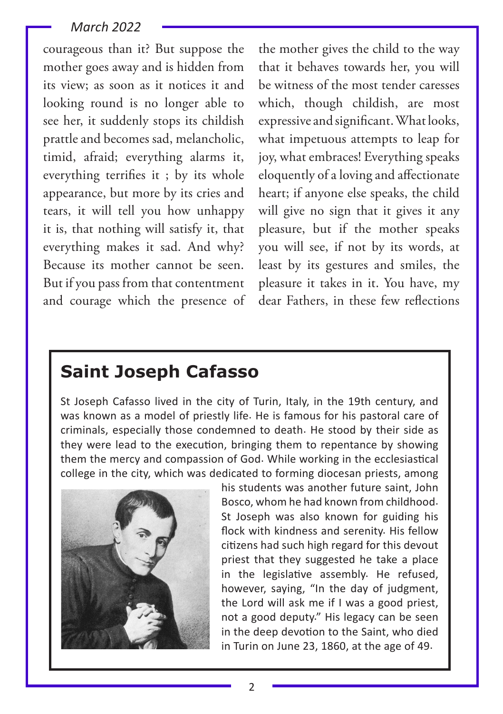courageous than it? But suppose the mother goes away and is hidden from its view; as soon as it notices it and looking round is no longer able to see her, it suddenly stops its childish prattle and becomes sad, melancholic, timid, afraid; everything alarms it, everything terrifies it ; by its whole appearance, but more by its cries and tears, it will tell you how unhappy it is, that nothing will satisfy it, that everything makes it sad. And why? Because its mother cannot be seen. But if you pass from that contentment and courage which the presence of the mother gives the child to the way that it behaves towards her, you will be witness of the most tender caresses which, though childish, are most expressive and significant. What looks, what impetuous attempts to leap for joy, what embraces! Everything speaks eloquently of a loving and affectionate heart; if anyone else speaks, the child will give no sign that it gives it any pleasure, but if the mother speaks you will see, if not by its words, at least by its gestures and smiles, the pleasure it takes in it. You have, my dear Fathers, in these few reflections

# **Saint Joseph Cafasso**

St Joseph Cafasso lived in the city of Turin, Italy, in the 19th century, and was known as a model of priestly life. He is famous for his pastoral care of criminals, especially those condemned to death. He stood by their side as they were lead to the execution, bringing them to repentance by showing them the mercy and compassion of God. While working in the ecclesiastical college in the city, which was dedicated to forming diocesan priests, among



his students was another future saint, John Bosco, whom he had known from childhood. St Joseph was also known for guiding his flock with kindness and serenity. His fellow citizens had such high regard for this devout priest that they suggested he take a place in the legislative assembly. He refused, however, saying, "In the day of judgment, the Lord will ask me if I was a good priest, not a good deputy." His legacy can be seen in the deep devotion to the Saint, who died in Turin on June 23, 1860, at the age of 49.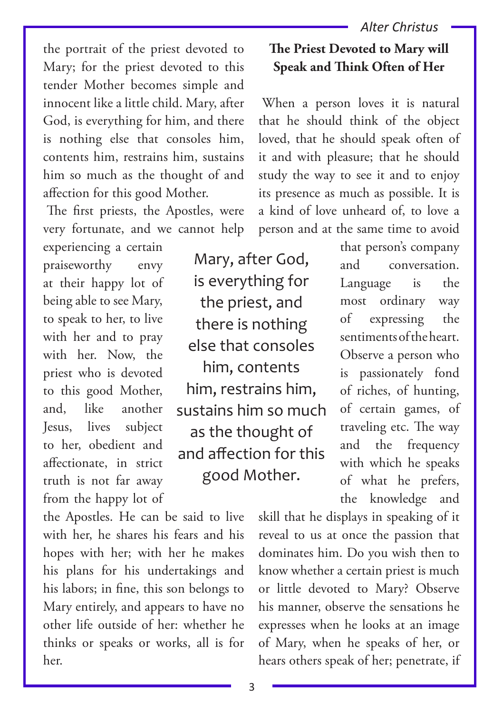#### *Alter Christus*

the portrait of the priest devoted to Mary; for the priest devoted to this tender Mother becomes simple and innocent like a little child. Mary, after God, is everything for him, and there is nothing else that consoles him, contents him, restrains him, sustains him so much as the thought of and affection for this good Mother.

The first priests, the Apostles, were very fortunate, and we cannot help

experiencing a certain praiseworthy envy at their happy lot of being able to see Mary, to speak to her, to live with her and to pray with her. Now, the priest who is devoted to this good Mother, and, like another Jesus, lives subject to her, obedient and affectionate, in strict truth is not far away from the happy lot of

the Apostles. He can be said to live with her, he shares his fears and his hopes with her; with her he makes his plans for his undertakings and his labors; in fine, this son belongs to Mary entirely, and appears to have no other life outside of her: whether he thinks or speaks or works, all is for her.

Mary, after God, is everything for the priest, and there is nothing

else that consoles him, contents him, restrains him, sustains him so much as the thought of and affection for this good Mother.

## **The Priest Devoted to Mary will Speak and Think Often of Her**

When a person loves it is natural that he should think of the object loved, that he should speak often of it and with pleasure; that he should study the way to see it and to enjoy its presence as much as possible. It is a kind of love unheard of, to love a person and at the same time to avoid

> that person's company and conversation. Language is the most ordinary way of expressing the sentiments of the heart. Observe a person who is passionately fond of riches, of hunting, of certain games, of traveling etc. The way and the frequency with which he speaks of what he prefers, the knowledge and

skill that he displays in speaking of it reveal to us at once the passion that dominates him. Do you wish then to know whether a certain priest is much or little devoted to Mary? Observe his manner, observe the sensations he expresses when he looks at an image of Mary, when he speaks of her, or hears others speak of her; penetrate, if

3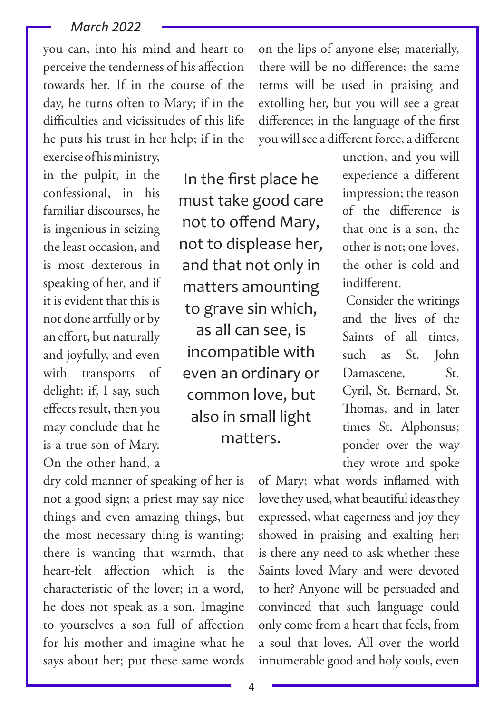you can, into his mind and heart to perceive the tenderness of his affection towards her. If in the course of the day, he turns often to Mary; if in the difficulties and vicissitudes of this life he puts his trust in her help; if in the exercise of his ministry,

on the lips of anyone else; materially, there will be no difference; the same terms will be used in praising and extolling her, but you will see a great difference; in the language of the first you will see a different force, a different

in the pulpit, in the confessional, in his familiar discourses, he is ingenious in seizing the least occasion, and is most dexterous in speaking of her, and if it is evident that this is not done artfully or by an effort, but naturally and joyfully, and even with transports of delight; if, I say, such effects result, then you may conclude that he is a true son of Mary. On the other hand, a

In the first place he must take good care not to offend Mary, not to displease her, and that not only in matters amounting to grave sin which, as all can see, is incompatible with even an ordinary or common love, but also in small light matters.

unction, and you will experience a different impression; the reason of the difference is that one is a son, the other is not; one loves, the other is cold and indifferent.

Consider the writings and the lives of the Saints of all times, such as St. John Damascene, St. Cyril, St. Bernard, St. Thomas, and in later times St. Alphonsus; ponder over the way they wrote and spoke

dry cold manner of speaking of her is not a good sign; a priest may say nice things and even amazing things, but the most necessary thing is wanting: there is wanting that warmth, that heart-felt affection which is the characteristic of the lover; in a word, he does not speak as a son. Imagine to yourselves a son full of affection for his mother and imagine what he says about her; put these same words

of Mary; what words inflamed with love they used, what beautiful ideas they expressed, what eagerness and joy they showed in praising and exalting her; is there any need to ask whether these Saints loved Mary and were devoted to her? Anyone will be persuaded and convinced that such language could only come from a heart that feels, from a soul that loves. All over the world innumerable good and holy souls, even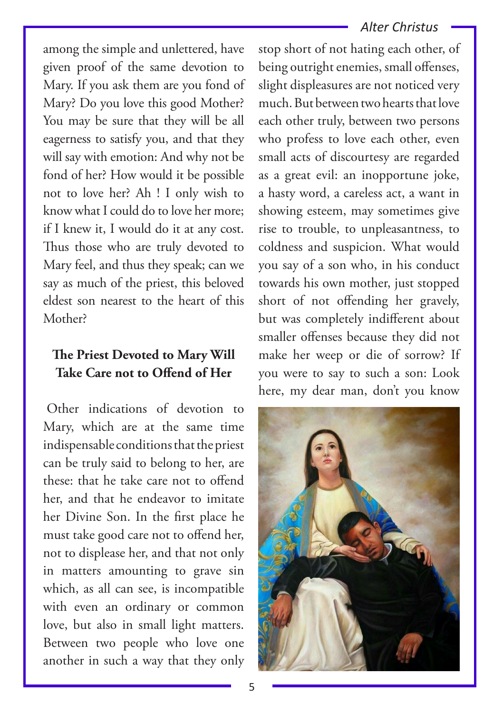#### *Alter Christus*

among the simple and unlettered, have given proof of the same devotion to Mary. If you ask them are you fond of Mary? Do you love this good Mother? You may be sure that they will be all eagerness to satisfy you, and that they will say with emotion: And why not be fond of her? How would it be possible not to love her? Ah ! I only wish to know what I could do to love her more; if I knew it, I would do it at any cost. Thus those who are truly devoted to Mary feel, and thus they speak; can we say as much of the priest, this beloved eldest son nearest to the heart of this Mother?

### **The Priest Devoted to Mary Will Take Care not to Offend of Her**

Other indications of devotion to Mary, which are at the same time indispensable conditions that the priest can be truly said to belong to her, are these: that he take care not to offend her, and that he endeavor to imitate her Divine Son. In the first place he must take good care not to offend her, not to displease her, and that not only in matters amounting to grave sin which, as all can see, is incompatible with even an ordinary or common love, but also in small light matters. Between two people who love one another in such a way that they only

stop short of not hating each other, of being outright enemies, small offenses, slight displeasures are not noticed very much. But between two hearts that love each other truly, between two persons who profess to love each other, even small acts of discourtesy are regarded as a great evil: an inopportune joke, a hasty word, a careless act, a want in showing esteem, may sometimes give rise to trouble, to unpleasantness, to coldness and suspicion. What would you say of a son who, in his conduct towards his own mother, just stopped short of not offending her gravely, but was completely indifferent about smaller offenses because they did not make her weep or die of sorrow? If you were to say to such a son: Look here, my dear man, don't you know

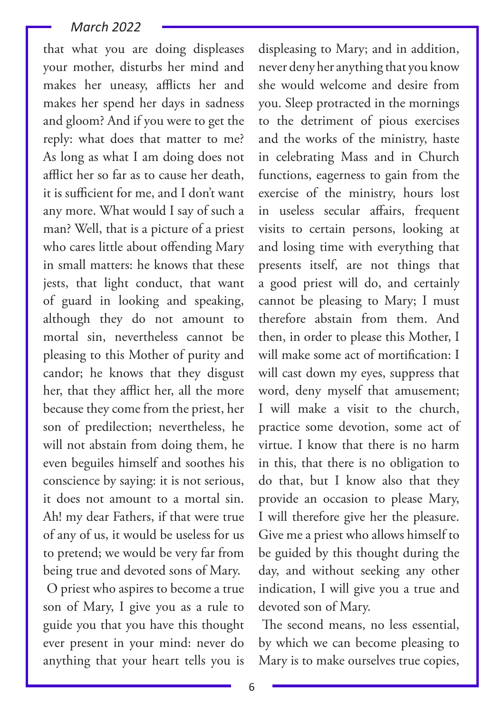that what you are doing displeases your mother, disturbs her mind and makes her uneasy, afflicts her and makes her spend her days in sadness and gloom? And if you were to get the reply: what does that matter to me? As long as what I am doing does not afflict her so far as to cause her death, it is sufficient for me, and I don't want any more. What would I say of such a man? Well, that is a picture of a priest who cares little about offending Mary in small matters: he knows that these jests, that light conduct, that want of guard in looking and speaking, although they do not amount to mortal sin, nevertheless cannot be pleasing to this Mother of purity and candor; he knows that they disgust her, that they afflict her, all the more because they come from the priest, her son of predilection; nevertheless, he will not abstain from doing them, he even beguiles himself and soothes his conscience by saying: it is not serious, it does not amount to a mortal sin. Ah! my dear Fathers, if that were true of any of us, it would be useless for us to pretend; we would be very far from being true and devoted sons of Mary.

O priest who aspires to become a true son of Mary, I give you as a rule to guide you that you have this thought ever present in your mind: never do anything that your heart tells you is

displeasing to Mary; and in addition, never deny her anything that you know she would welcome and desire from you. Sleep protracted in the mornings to the detriment of pious exercises and the works of the ministry, haste in celebrating Mass and in Church functions, eagerness to gain from the exercise of the ministry, hours lost in useless secular affairs, frequent visits to certain persons, looking at and losing time with everything that presents itself, are not things that a good priest will do, and certainly cannot be pleasing to Mary; I must therefore abstain from them. And then, in order to please this Mother, I will make some act of mortification: I will cast down my eyes, suppress that word, deny myself that amusement; I will make a visit to the church, practice some devotion, some act of virtue. I know that there is no harm in this, that there is no obligation to do that, but I know also that they provide an occasion to please Mary, I will therefore give her the pleasure. Give me a priest who allows himself to be guided by this thought during the day, and without seeking any other indication, I will give you a true and devoted son of Mary.

The second means, no less essential, by which we can become pleasing to Mary is to make ourselves true copies,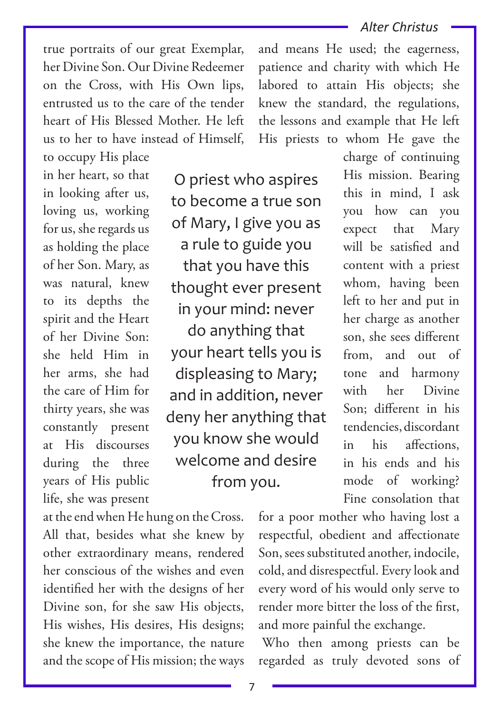true portraits of our great Exemplar, her Divine Son. Our Divine Redeemer on the Cross, with His Own lips, entrusted us to the care of the tender heart of His Blessed Mother. He left us to her to have instead of Himself,

and means He used; the eagerness, patience and charity with which He labored to attain His objects; she knew the standard, the regulations, the lessons and example that He left His priests to whom He gave the

to occupy His place in her heart, so that in looking after us, loving us, working for us, she regards us as holding the place of her Son. Mary, as was natural, knew to its depths the spirit and the Heart of her Divine Son: she held Him in her arms, she had the care of Him for thirty years, she was constantly present at His discourses during the three years of His public life, she was present

at the end when He hung on the Cross. All that, besides what she knew by other extraordinary means, rendered her conscious of the wishes and even identified her with the designs of her Divine son, for she saw His objects, His wishes, His desires, His designs; she knew the importance, the nature and the scope of His mission; the ways

O priest who aspires to become a true son of Mary, I give you as a rule to guide you that you have this thought ever present in your mind: never do anything that your heart tells you is displeasing to Mary; and in addition, never deny her anything that you know she would welcome and desire from you.

charge of continuing His mission. Bearing this in mind, I ask you how can you expect that Mary will be satisfied and content with a priest whom, having been left to her and put in her charge as another son, she sees different from, and out of tone and harmony with her Divine Son; different in his tendencies, discordant in his affections, in his ends and his mode of working? Fine consolation that

for a poor mother who having lost a respectful, obedient and affectionate Son, sees substituted another, indocile, cold, and disrespectful. Every look and every word of his would only serve to render more bitter the loss of the first, and more painful the exchange.

Who then among priests can be regarded as truly devoted sons of

7